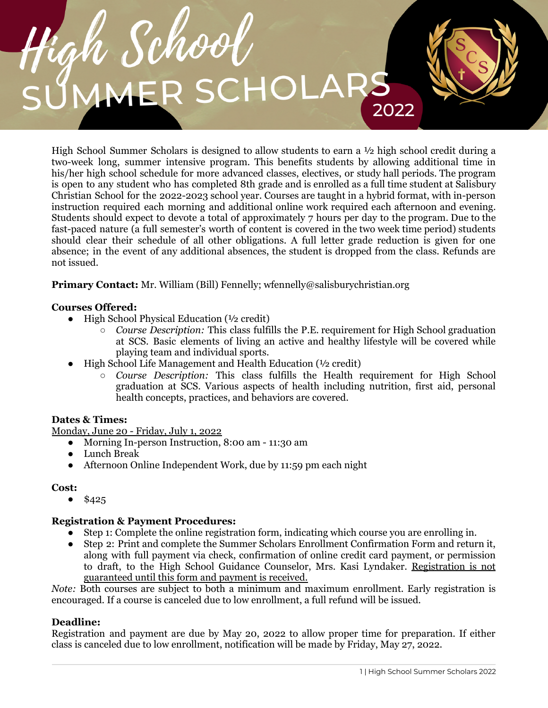

High School Summer Scholars is designed to allow students to earn a  $\frac{1}{2}$  high school credit during a two-week long, summer intensive program. This benefits students by allowing additional time in his/her high school schedule for more advanced classes, electives, or study hall periods. The program is open to any student who has completed 8th grade and is enrolled as a full time student at Salisbury Christian School for the 2022-2023 school year. Courses are taught in a hybrid format, with in-person instruction required each morning and additional online work required each afternoon and evening. Students should expect to devote a total of approximately 7 hours per day to the program. Due to the fast-paced nature (a full semester's worth of content is covered in the two week time period) students should clear their schedule of all other obligations. A full letter grade reduction is given for one absence; in the event of any additional absences, the student is dropped from the class. Refunds are not issued.

**Primary Contact:** Mr. William (Bill) Fennelly; wfennelly@salisburychristian.org

# **Courses Offered:**

- $\bullet$  High School Physical Education ( $\frac{1}{2}$  credit)
	- *Course Description:* This class fulfills the P.E. requirement for High School graduation at SCS. Basic elements of living an active and healthy lifestyle will be covered while playing team and individual sports.
- High School Life Management and Health Education (1/2 credit)
	- *Course Description:* This class fulfills the Health requirement for High School graduation at SCS. Various aspects of health including nutrition, first aid, personal health concepts, practices, and behaviors are covered.

## **Dates & Times:**

Monday, June 20 - Friday, July 1, 2022

- Morning In-person Instruction, 8:00 am 11:30 am
- Lunch Break
- Afternoon Online Independent Work, due by 11:59 pm each night

### **Cost:**

 $•$  \$425

## **Registration & Payment Procedures:**

- Step 1: Complete the online registration form, indicating which course you are enrolling in.
- Step 2: Print and complete the Summer Scholars Enrollment Confirmation Form and return it, along with full payment via check, confirmation of online credit card payment, or permission to draft, to the High School Guidance Counselor, Mrs. Kasi Lyndaker. Registration is not guaranteed until this form and payment is received.

*Note:* Both courses are subject to both a minimum and maximum enrollment. Early registration is encouraged. If a course is canceled due to low enrollment, a full refund will be issued.

### **Deadline:**

Registration and payment are due by May 20, 2022 to allow proper time for preparation. If either class is canceled due to low enrollment, notification will be made by Friday, May 27, 2022.